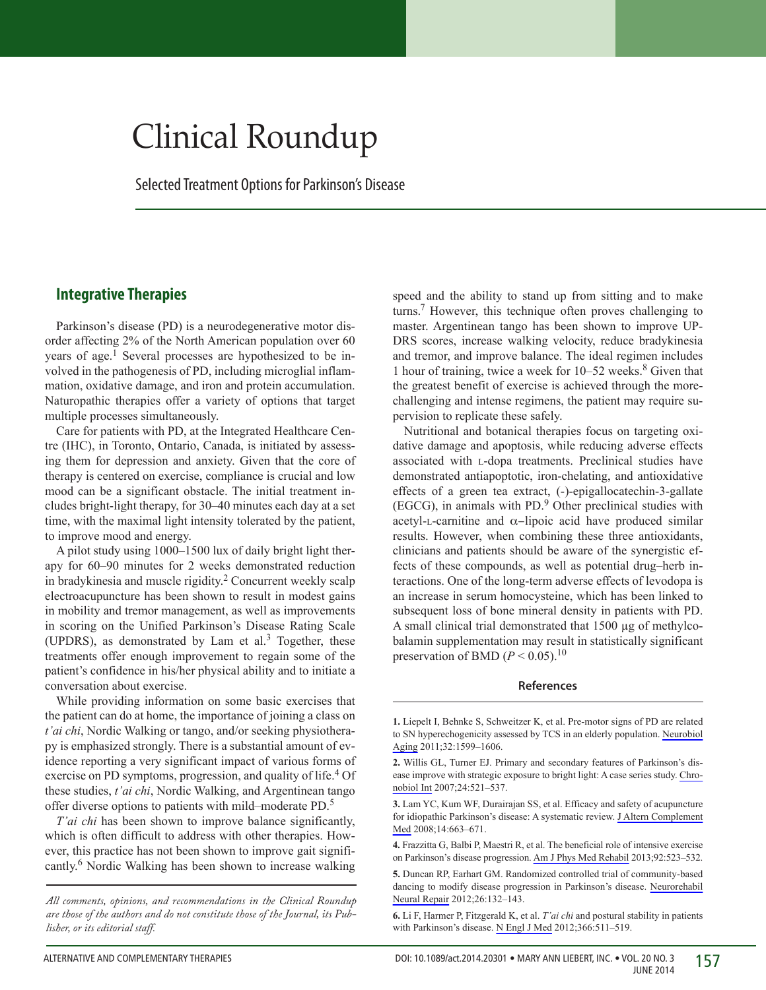# Clinical Roundup

Selected Treatment Options for Parkinson's Disease

## **Integrative Therapies**

Parkinson's disease (PD) is a neurodegenerative motor disorder affecting 2% of the North American population over 60 years of age.<sup>1</sup> Several processes are hypothesized to be involved in the pathogenesis of PD, including microglial inflammation, oxidative damage, and iron and protein accumulation. Naturopathic therapies offer a variety of options that target multiple processes simultaneously.

Care for patients with PD, at the Integrated Healthcare Centre (IHC), in Toronto, Ontario, Canada, is initiated by assessing them for depression and anxiety. Given that the core of therapy is centered on exercise, compliance is crucial and low mood can be a significant obstacle. The initial treatment includes bright-light therapy, for 30–40 minutes each day at a set time, with the maximal light intensity tolerated by the patient, to improve mood and energy.

A pilot study using 1000–1500 lux of daily bright light therapy for 60–90 minutes for 2 weeks demonstrated reduction in bradykinesia and muscle rigidity.<sup>2</sup> Concurrent weekly scalp electroacupuncture has been shown to result in modest gains in mobility and tremor management, as well as improvements in scoring on the Unified Parkinson's Disease Rating Scale (UPDRS), as demonstrated by Lam et al. $3$  Together, these treatments offer enough improvement to regain some of the patient's confidence in his/her physical ability and to initiate a conversation about exercise.

While providing information on some basic exercises that the patient can do at home, the importance of joining a class on *t'ai chi*, Nordic Walking or tango, and/or seeking physiotherapy is emphasized strongly. There is a substantial amount of evidence reporting a very significant impact of various forms of exercise on PD symptoms, progression, and quality of life.<sup>4</sup> Of these studies, *t'ai chi*, Nordic Walking, and Argentinean tango offer diverse options to patients with mild–moderate PD.5

*T'ai chi* has been shown to improve balance significantly, which is often difficult to address with other therapies. However, this practice has not been shown to improve gait significantly.6 Nordic Walking has been shown to increase walking

*All comments, opinions, and recommendations in the Clinical Roundup are those of the authors and do not constitute those of the Journal, its Publisher, or its editorial staff.*

speed and the ability to stand up from sitting and to make turns.7 However, this technique often proves challenging to master. Argentinean tango has been shown to improve UP-DRS scores, increase walking velocity, reduce bradykinesia and tremor, and improve balance. The ideal regimen includes 1 hour of training, twice a week for  $10-52$  weeks.<sup>8</sup> Given that the greatest benefit of exercise is achieved through the morechallenging and intense regimens, the patient may require supervision to replicate these safely.

Nutritional and botanical therapies focus on targeting oxidative damage and apoptosis, while reducing adverse effects associated with l-dopa treatments. Preclinical studies have demonstrated antiapoptotic, iron-chelating, and antioxidative effects of a green tea extract, (-)-epigallocatechin-3-gallate  $(EGCG)$ , in animals with PD. $9$  Other preclinical studies with acetyl-L-carnitine and  $\alpha$ -lipoic acid have produced similar results. However, when combining these three antioxidants, clinicians and patients should be aware of the synergistic effects of these compounds, as well as potential drug–herb interactions. One of the long-term adverse effects of levodopa is an increase in serum homocysteine, which has been linked to subsequent loss of bone mineral density in patients with PD. A small clinical trial demonstrated that 1500 µg of methylcobalamin supplementation may result in statistically significant preservation of BMD  $(P < 0.05)$ .<sup>10</sup>

#### **References**

**1.** Liepelt I, Behnke S, Schweitzer K, et al. Pre-motor signs of PD are related to SN hyperechogenicity assessed by TCS in an elderly population. [Neurobiol](http://online.liebertpub.com/action/showLinks?pmid=19897277&crossref=10.1016%2Fj.neurobiolaging.2009.10.004) [Aging](http://online.liebertpub.com/action/showLinks?pmid=19897277&crossref=10.1016%2Fj.neurobiolaging.2009.10.004) 2011;32:1599–1606.

**<sup>2.</sup>** Willis GL, Turner EJ. Primary and secondary features of Parkinson's disease improve with strategic exposure to bright light: A case series study. [Chro](http://online.liebertpub.com/action/showLinks?pmid=17612949&crossref=10.1080%2F07420520701420717)[nobiol Int](http://online.liebertpub.com/action/showLinks?pmid=17612949&crossref=10.1080%2F07420520701420717) 2007;24:521–537.

**<sup>3.</sup>** Lam YC, Kum WF, Durairajan SS, et al. Efficacy and safety of acupuncture for idiopathic Parkinson's disease: A systematic review. [J Altern Complement](http://online.liebertpub.com/action/showLinks?system=10.1089%2Facm.2007.0011&pmid=18684073) [Med](http://online.liebertpub.com/action/showLinks?system=10.1089%2Facm.2007.0011&pmid=18684073) 2008;14:663–671.

**<sup>4.</sup>** Frazzitta G, Balbi P, Maestri R, et al. The beneficial role of intensive exercise on Parkinson's disease progression. [Am J Phys Med Rehabil](http://online.liebertpub.com/action/showLinks?pmid=23552330&crossref=10.1097%2FPHM.0b013e31828cd254) 2013;92:523–532.

**<sup>5.</sup>** Duncan RP, Earhart GM. Randomized controlled trial of community-based dancing to modify disease progression in Parkinson's disease. [Neurorehabil](http://online.liebertpub.com/action/showLinks?pmid=21959675&crossref=10.1177%2F1545968311421614) [Neural Repair](http://online.liebertpub.com/action/showLinks?pmid=21959675&crossref=10.1177%2F1545968311421614) 2012;26:132–143.

**<sup>6.</sup>** Li F, Harmer P, Fitzgerald K, et al. *T'ai chi* and postural stability in patients with Parkinson's disease. [N Engl J Med](http://online.liebertpub.com/action/showLinks?pmid=22316445&crossref=10.1056%2FNEJMoa1107911) 2012;366:511–519.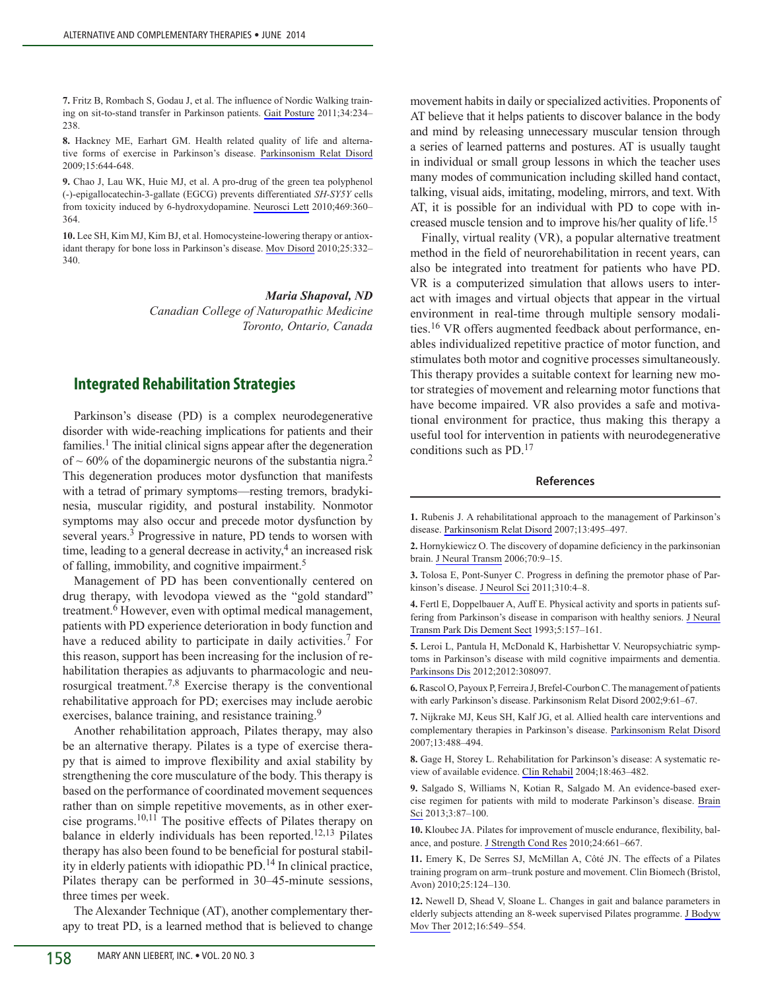**7.** Fritz B, Rombach S, Godau J, et al. The influence of Nordic Walking training on sit-to-stand transfer in Parkinson patients. [Gait Posture](http://online.liebertpub.com/action/showLinks?pmid=21640591&crossref=10.1016%2Fj.gaitpost.2011.05.004) 2011;34:234– 238.

**8.** Hackney ME, Earhart GM. Health related quality of life and alternative forms of exercise in Parkinson's disease. [Parkinsonism Relat Disord](http://online.liebertpub.com/action/showLinks?pmid=19329350&crossref=10.1016%2Fj.parkreldis.2009.03.003) 2009;15:644-648.

**9.** Chao J, Lau WK, Huie MJ, et al. A pro-drug of the green tea polyphenol (-)-epigallocatechin-3-gallate (EGCG) prevents differentiated *SH-SY5Y* cells from toxicity induced by 6-hydroxydopamine. [Neurosci Lett](http://online.liebertpub.com/action/showLinks?pmid=20026175&crossref=10.1016%2Fj.neulet.2009.12.028) 2010;469:360– 364.

**10.** Lee SH, Kim MJ, Kim BJ, et al. Homocysteine-lowering therapy or antioxidant therapy for bone loss in Parkinson's disease. [Mov Disord](http://online.liebertpub.com/action/showLinks?pmid=19938151&crossref=10.1002%2Fmds.22866) 2010;25:332– 340.

> *Maria Shapoval, ND Canadian College of Naturopathic Medicine Toronto, Ontario, Canada*

## **Integrated Rehabilitation Strategies**

Parkinson's disease (PD) is a complex neurodegenerative disorder with wide-reaching implications for patients and their families.<sup>1</sup> The initial clinical signs appear after the degeneration of  $\sim$  60% of the dopaminergic neurons of the substantia nigra.<sup>2</sup> This degeneration produces motor dysfunction that manifests with a tetrad of primary symptoms—resting tremors, bradykinesia, muscular rigidity, and postural instability. Nonmotor symptoms may also occur and precede motor dysfunction by several years.<sup>3</sup> Progressive in nature, PD tends to worsen with time, leading to a general decrease in activity, $4$  an increased risk of falling, immobility, and cognitive impairment.<sup>5</sup>

Management of PD has been conventionally centered on drug therapy, with levodopa viewed as the "gold standard" treatment.<sup>6</sup> However, even with optimal medical management, patients with PD experience deterioration in body function and have a reduced ability to participate in daily activities.<sup>7</sup> For this reason, support has been increasing for the inclusion of rehabilitation therapies as adjuvants to pharmacologic and neurosurgical treatment.7,8 Exercise therapy is the conventional rehabilitative approach for PD; exercises may include aerobic exercises, balance training, and resistance training.<sup>9</sup>

Another rehabilitation approach, Pilates therapy, may also be an alternative therapy. Pilates is a type of exercise therapy that is aimed to improve flexibility and axial stability by strengthening the core musculature of the body. This therapy is based on the performance of coordinated movement sequences rather than on simple repetitive movements, as in other exercise programs.10,11 The positive effects of Pilates therapy on balance in elderly individuals has been reported.<sup>12,13</sup> Pilates therapy has also been found to be beneficial for postural stability in elderly patients with idiopathic PD.14 In clinical practice, Pilates therapy can be performed in 30–45-minute sessions, three times per week.

The Alexander Technique (AT), another complementary therapy to treat PD, is a learned method that is believed to change movement habits in daily or specialized activities. Proponents of AT believe that it helps patients to discover balance in the body and mind by releasing unnecessary muscular tension through a series of learned patterns and postures. AT is usually taught in individual or small group lessons in which the teacher uses many modes of communication including skilled hand contact, talking, visual aids, imitating, modeling, mirrors, and text. With AT, it is possible for an individual with PD to cope with increased muscle tension and to improve his/her quality of life.<sup>15</sup>

Finally, virtual reality (VR), a popular alternative treatment method in the field of neurorehabilitation in recent years, can also be integrated into treatment for patients who have PD. VR is a computerized simulation that allows users to interact with images and virtual objects that appear in the virtual environment in real-time through multiple sensory modalities.16 VR offers augmented feedback about performance, enables individualized repetitive practice of motor function, and stimulates both motor and cognitive processes simultaneously. This therapy provides a suitable context for learning new motor strategies of movement and relearning motor functions that have become impaired. VR also provides a safe and motivational environment for practice, thus making this therapy a useful tool for intervention in patients with neurodegenerative conditions such as  $PD.17$ 

#### **References**

**1.** Rubenis J. A rehabilitational approach to the management of Parkinson's disease. [Parkinsonism Relat Disord](http://online.liebertpub.com/action/showLinks?pmid=17449316&crossref=10.1016%2FS1353-8020%2808%2970055-5) 2007;13:495–497.

**2.** Hornykiewicz O. The discovery of dopamine deficiency in the parkinsonian brain. [J Neural Transm](http://online.liebertpub.com/action/showLinks?crossref=10.1007%2F978-3-211-45295-0_3) 2006;70:9–15.

**3.** Tolosa E, Pont-Sunyer C. Progress in defining the premotor phase of Parkinson's disease. [J Neurol Sci](http://online.liebertpub.com/action/showLinks?pmid=21679972&crossref=10.1016%2Fj.jns.2011.05.027) 2011;310:4–8.

**4.** Fertl E, Doppelbauer A, Auff E. Physical activity and sports in patients suffering from Parkinson's disease in comparison with healthy seniors. [J Neural](http://online.liebertpub.com/action/showLinks?pmid=8333910&crossref=10.1007%2FBF02251206) [Transm Park Dis Dement Sect](http://online.liebertpub.com/action/showLinks?pmid=8333910&crossref=10.1007%2FBF02251206) 1993;5:157–161.

**5.** Leroi L, Pantula H, McDonald K, Harbishettar V. Neuropsychiatric symptoms in Parkinson's disease with mild cognitive impairments and dementia. [Parkinsons Dis](http://online.liebertpub.com/action/showLinks?pmid=22970412) 2012;2012:308097.

**6.** Rascol O, Payoux P, Ferreira J, Brefel-Courbon C. The management of patients with early Parkinson's disease. Parkinsonism Relat Disord 2002;9:61–67.

**7.** Nijkrake MJ, Keus SH, Kalf JG, et al. Allied health care interventions and complementary therapies in Parkinson's disease. [Parkinsonism Relat Disord](http://online.liebertpub.com/action/showLinks?crossref=10.1016%2FS1353-8020%2808%2970054-3)  2007;13:488–494.

**8.** Gage H, Storey L. Rehabilitation for Parkinson's disease: A systematic review of available evidence. [Clin Rehabil](http://online.liebertpub.com/action/showLinks?pmid=15293481&crossref=10.1191%2F0269215504cr764oa) 2004;18:463–482.

**9.** Salgado S, Williams N, Kotian R, Salgado M. An evidence-based exercise regimen for patients with mild to moderate Parkinson's disease. [Brain](http://online.liebertpub.com/action/showLinks?crossref=10.3390%2Fbrainsci3010087)  [Sci](http://online.liebertpub.com/action/showLinks?crossref=10.3390%2Fbrainsci3010087) 2013;3:87–100.

**10.** Kloubec JA. Pilates for improvement of muscle endurance, flexibility, balance, and posture. [J Strength Cond Res](http://online.liebertpub.com/action/showLinks?pmid=20145572&crossref=10.1519%2FJSC.0b013e3181c277a6) 2010;24:661–667.

**11.** Emery K, De Serres SJ, McMillan A, Côté JN. The effects of a Pilates training program on arm–trunk posture and movement. Clin Biomech (Bristol, Avon) 2010;25:124–130.

**12.** Newell D, Shead V, Sloane L. Changes in gait and balance parameters in elderly subjects attending an 8-week supervised Pilates programme. [J Bodyw](http://online.liebertpub.com/action/showLinks?pmid=23036886&crossref=10.1016%2Fj.jbmt.2012.02.002)  [Mov Ther](http://online.liebertpub.com/action/showLinks?pmid=23036886&crossref=10.1016%2Fj.jbmt.2012.02.002) 2012;16:549–554.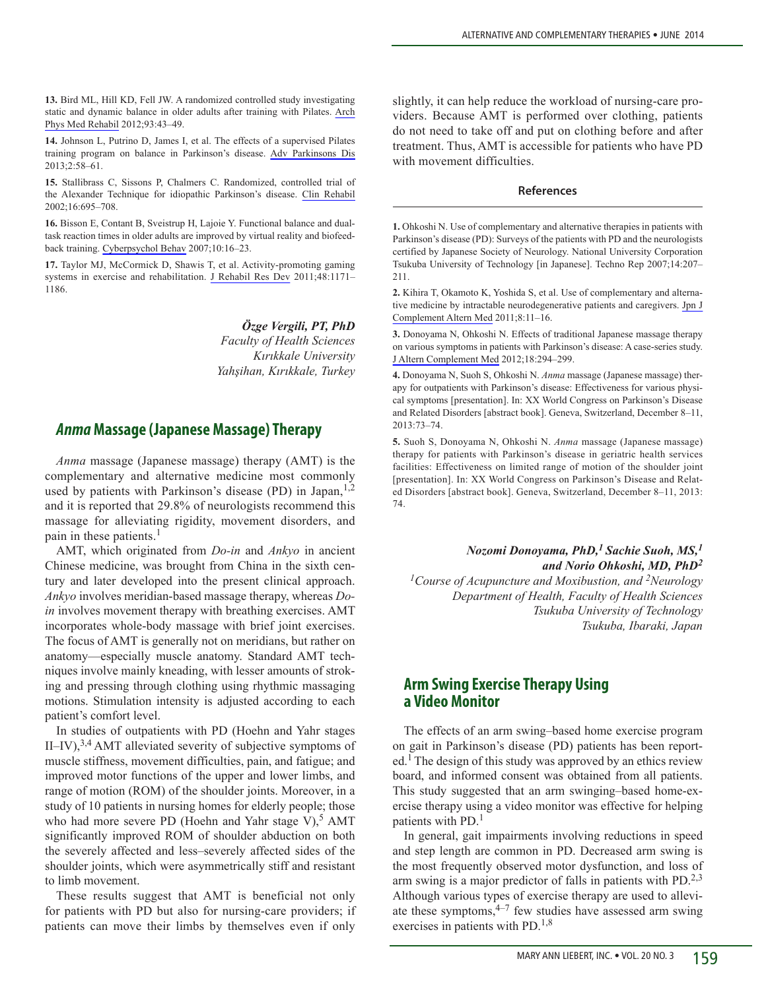**13.** Bird ML, Hill KD, Fell JW. A randomized controlled study investigating static and dynamic balance in older adults after training with Pilates. [Arch](http://online.liebertpub.com/action/showLinks?pmid=21975148&crossref=10.1016%2Fj.apmr.2011.08.005)  [Phys Med Rehabil](http://online.liebertpub.com/action/showLinks?pmid=21975148&crossref=10.1016%2Fj.apmr.2011.08.005) 2012;93:43–49.

**14.** Johnson L, Putrino D, James I, et al. The effects of a supervised Pilates training program on balance in Parkinson's disease. [Adv Parkinsons Dis](http://online.liebertpub.com/action/showLinks?crossref=10.4236%2Fapd.2013.22011)  2013;2:58–61.

**15.** Stallibrass C, Sissons P, Chalmers C. Randomized, controlled trial of the Alexander Technique for idiopathic Parkinson's disease. [Clin Rehabil](http://online.liebertpub.com/action/showLinks?pmid=12428818&crossref=10.1191%2F0269215502cr544oa)  2002;16:695–708.

**16.** Bisson E, Contant B, Sveistrup H, Lajoie Y. Functional balance and dualtask reaction times in older adults are improved by virtual reality and biofeedback training. [Cyberpsychol Behav](http://online.liebertpub.com/action/showLinks?system=10.1089%2Fcpb.2006.9997&pmid=17305444) 2007;10:16–23.

**17.** Taylor MJ, McCormick D, Shawis T, et al. Activity-promoting gaming systems in exercise and rehabilitation. [J Rehabil Res Dev](http://online.liebertpub.com/action/showLinks?pmid=22234662&crossref=10.1682%2FJRRD.2010.09.0171) 2011;48:1171– 1186.

> *Özge Vergili, PT, PhD Faculty of Health Sciences Kırıkkale University Yahşihan, Kırıkkale, Turkey*

## *Anma* **Massage (Japanese Massage) Therapy**

*Anma* massage (Japanese massage) therapy (AMT) is the complementary and alternative medicine most commonly used by patients with Parkinson's disease (PD) in Japan,  $1,2$ and it is reported that 29.8% of neurologists recommend this massage for alleviating rigidity, movement disorders, and pain in these patients.<sup>1</sup>

AMT, which originated from *Do-in* and *Ankyo* in ancient Chinese medicine, was brought from China in the sixth century and later developed into the present clinical approach. *Ankyo* involves meridian-based massage therapy, whereas *Doin* involves movement therapy with breathing exercises. AMT incorporates whole-body massage with brief joint exercises. The focus of AMT is generally not on meridians, but rather on anatomy—especially muscle anatomy. Standard AMT techniques involve mainly kneading, with lesser amounts of stroking and pressing through clothing using rhythmic massaging motions. Stimulation intensity is adjusted according to each patient's comfort level.

In studies of outpatients with PD (Hoehn and Yahr stages II–IV),  $3,4$  AMT alleviated severity of subjective symptoms of muscle stiffness, movement difficulties, pain, and fatigue; and improved motor functions of the upper and lower limbs, and range of motion (ROM) of the shoulder joints. Moreover, in a study of 10 patients in nursing homes for elderly people; those who had more severe PD (Hoehn and Yahr stage V),<sup>5</sup> AMT significantly improved ROM of shoulder abduction on both the severely affected and less–severely affected sides of the shoulder joints, which were asymmetrically stiff and resistant to limb movement.

These results suggest that AMT is beneficial not only for patients with PD but also for nursing-care providers; if patients can move their limbs by themselves even if only slightly, it can help reduce the workload of nursing-care providers. Because AMT is performed over clothing, patients do not need to take off and put on clothing before and after treatment. Thus, AMT is accessible for patients who have PD with movement difficulties.

#### **References**

**1.** Ohkoshi N. Use of complementary and alternative therapies in patients with Parkinson's disease (PD): Surveys of the patients with PD and the neurologists certified by Japanese Society of Neurology. National University Corporation Tsukuba University of Technology [in Japanese]. Techno Rep 2007;14:207– 211.

**2.** Kihira T, Okamoto K, Yoshida S, et al. Use of complementary and alternative medicine by intractable neurodegenerative patients and caregivers. [Jpn J](http://online.liebertpub.com/action/showLinks?pmid=22238477&crossref=10.1625%2Fjcam.8.11)  [Complement Altern Med](http://online.liebertpub.com/action/showLinks?pmid=22238477&crossref=10.1625%2Fjcam.8.11) 2011;8:11–16.

**3.** Donoyama N, Ohkoshi N. Effects of traditional Japanese massage therapy on various symptoms in patients with Parkinson's disease: A case-series study. [J Altern Complement Med](http://online.liebertpub.com/action/showLinks?system=10.1089%2Facm.2011.0148&pmid=22385078) 2012;18:294–299.

**4.** Donoyama N, Suoh S, Ohkoshi N. *Anma* massage (Japanese massage) therapy for outpatients with Parkinson's disease: Effectiveness for various physical symptoms [presentation]. In: XX World Congress on Parkinson's Disease and Related Disorders [abstract book]. Geneva, Switzerland, December 8–11, 2013:73–74.

**5.** Suoh S, Donoyama N, Ohkoshi N. *Anma* massage (Japanese massage) therapy for patients with Parkinson's disease in geriatric health services facilities: Effectiveness on limited range of motion of the shoulder joint [presentation]. In: XX World Congress on Parkinson's Disease and Related Disorders [abstract book]. Geneva, Switzerland, December 8–11, 2013: 74.

## *Nozomi Donoyama, PhD,1 Sachie Suoh, MS,1 and Norio Ohkoshi, MD, PhD<sup>2</sup>*

*1Course of Acupuncture and Moxibustion, and 2Neurology Department of Health, Faculty of Health Sciences Tsukuba University of Technology Tsukuba, Ibaraki, Japan*

## **Arm Swing Exercise Therapy Using a Video Monitor**

The effects of an arm swing–based home exercise program on gait in Parkinson's disease (PD) patients has been reported.<sup>1</sup> The design of this study was approved by an ethics review board, and informed consent was obtained from all patients. This study suggested that an arm swinging–based home-exercise therapy using a video monitor was effective for helping patients with PD.<sup>1</sup>

In general, gait impairments involving reductions in speed and step length are common in PD. Decreased arm swing is the most frequently observed motor dysfunction, and loss of arm swing is a major predictor of falls in patients with  $PD^{-2,3}$ . Although various types of exercise therapy are used to alleviate these symptoms, $4-7$  few studies have assessed arm swing exercises in patients with PD. $^{1,8}$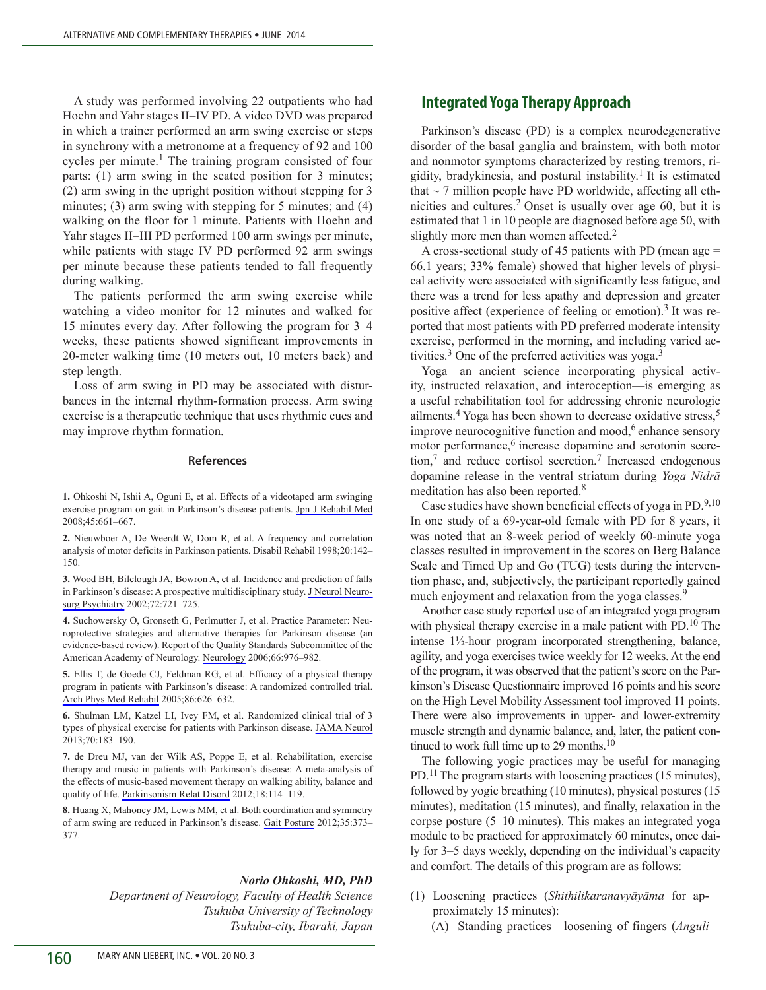A study was performed involving 22 outpatients who had Hoehn and Yahr stages II–IV PD. A video DVD was prepared in which a trainer performed an arm swing exercise or steps in synchrony with a metronome at a frequency of 92 and 100 cycles per minute.<sup>1</sup> The training program consisted of four parts: (1) arm swing in the seated position for 3 minutes; (2) arm swing in the upright position without stepping for 3 minutes; (3) arm swing with stepping for 5 minutes; and (4) walking on the floor for 1 minute. Patients with Hoehn and Yahr stages II–III PD performed 100 arm swings per minute, while patients with stage IV PD performed 92 arm swings per minute because these patients tended to fall frequently during walking.

The patients performed the arm swing exercise while watching a video monitor for 12 minutes and walked for 15 minutes every day. After following the program for 3–4 weeks, these patients showed significant improvements in 20-meter walking time (10 meters out, 10 meters back) and step length.

Loss of arm swing in PD may be associated with disturbances in the internal rhythm-formation process. Arm swing exercise is a therapeutic technique that uses rhythmic cues and may improve rhythm formation.

#### **References**

**1.** Ohkoshi N, Ishii A, Oguni E, et al. Effects of a videotaped arm swinging exercise program on gait in Parkinson's disease patients. [Jpn J Rehabil Med](http://online.liebertpub.com/action/showLinks?crossref=10.2490%2Fjjrmc.45.661) 2008;45:661–667.

**2.** Nieuwboer A, De Weerdt W, Dom R, et al. A frequency and correlation analysis of motor deficits in Parkinson patients. [Disabil Rehabil](http://online.liebertpub.com/action/showLinks?pmid=9571381&crossref=10.3109%2F09638289809166074) 1998;20:142– 150.

**3.** Wood BH, Bilclough JA, Bowron A, et al. Incidence and prediction of falls in Parkinson's disease: A prospective multidisciplinary study. [J Neurol Neuro](http://online.liebertpub.com/action/showLinks?pmid=12023412&crossref=10.1136%2Fjnnp.72.6.721)[surg Psychiatry](http://online.liebertpub.com/action/showLinks?pmid=12023412&crossref=10.1136%2Fjnnp.72.6.721) 2002;72:721–725.

**4.** Suchowersky O, Gronseth G, Perlmutter J, et al. Practice Parameter: Neuroprotective strategies and alternative therapies for Parkinson disease (an evidence-based review). Report of the Quality Standards Subcommittee of the American Academy of Neurology. [Neurology](http://online.liebertpub.com/action/showLinks?pmid=16606908&crossref=10.1212%2F01.wnl.0000206363.57955.1b) 2006;66:976–982.

**5.** Ellis T, de Goede CJ, Feldman RG, et al. Efficacy of a physical therapy program in patients with Parkinson's disease: A randomized controlled trial. [Arch Phys Med Rehabil](http://online.liebertpub.com/action/showLinks?pmid=15827910&crossref=10.1016%2Fj.apmr.2004.08.008) 2005;86:626–632.

**6.** Shulman LM, Katzel LI, Ivey FM, et al. Randomized clinical trial of 3 types of physical exercise for patients with Parkinson disease. [JAMA Neurol](http://online.liebertpub.com/action/showLinks?crossref=10.1001%2Fjamaneurol.2013.646) 2013;70:183–190.

**7.** de Dreu MJ, van der Wilk AS, Poppe E, et al. Rehabilitation, exercise therapy and music in patients with Parkinson's disease: A meta-analysis of the effects of music-based movement therapy on walking ability, balance and quality of life. [Parkinsonism Relat Disord](http://online.liebertpub.com/action/showLinks?crossref=10.1016%2FS1353-8020%2811%2970036-0) 2012;18:114–119.

**8.** Huang X, Mahoney JM, Lewis MM, et al. Both coordination and symmetry of arm swing are reduced in Parkinson's disease. [Gait Posture](http://online.liebertpub.com/action/showLinks?pmid=22098825&crossref=10.1016%2Fj.gaitpost.2011.10.180) 2012;35:373– 377.

### *Norio Ohkoshi, MD, PhD*

*Department of Neurology, Faculty of Health Science Tsukuba University of Technology Tsukuba-city, Ibaraki, Japan*

## **Integrated Yoga Therapy Approach**

Parkinson's disease (PD) is a complex neurodegenerative disorder of the basal ganglia and brainstem, with both motor and nonmotor symptoms characterized by resting tremors, rigidity, bradykinesia, and postural instability.<sup>1</sup> It is estimated that  $\sim$  7 million people have PD worldwide, affecting all ethnicities and cultures.<sup>2</sup> Onset is usually over age 60, but it is estimated that 1 in 10 people are diagnosed before age 50, with slightly more men than women affected.<sup>2</sup>

A cross-sectional study of 45 patients with PD (mean age = 66.1 years; 33% female) showed that higher levels of physical activity were associated with significantly less fatigue, and there was a trend for less apathy and depression and greater positive affect (experience of feeling or emotion).<sup>3</sup> It was reported that most patients with PD preferred moderate intensity exercise, performed in the morning, and including varied activities.<sup>3</sup> One of the preferred activities was yoga.<sup>3</sup>

Yoga—an ancient science incorporating physical activity, instructed relaxation, and interoception—is emerging as a useful rehabilitation tool for addressing chronic neurologic ailments.<sup>4</sup> Yoga has been shown to decrease oxidative stress,<sup>5</sup> improve neurocognitive function and mood, $6$  enhance sensory motor performance,<sup>6</sup> increase dopamine and serotonin secretion,7 and reduce cortisol secretion.7 Increased endogenous dopamine release in the ventral striatum during *Yoga Nidrā* meditation has also been reported.<sup>8</sup>

Case studies have shown beneficial effects of yoga in PD. $9,10$ In one study of a 69-year-old female with PD for 8 years, it was noted that an 8-week period of weekly 60-minute yoga classes resulted in improvement in the scores on Berg Balance Scale and Timed Up and Go (TUG) tests during the intervention phase, and, subjectively, the participant reportedly gained much enjoyment and relaxation from the yoga classes.<sup>9</sup>

Another case study reported use of an integrated yoga program with physical therapy exercise in a male patient with PD.<sup>10</sup> The intense 1½-hour program incorporated strengthening, balance, agility, and yoga exercises twice weekly for 12 weeks. At the end of the program, it was observed that the patient's score on the Parkinson's Disease Questionnaire improved 16 points and his score on the High Level Mobility Assessment tool improved 11 points. There were also improvements in upper- and lower-extremity muscle strength and dynamic balance, and, later, the patient continued to work full time up to 29 months.<sup>10</sup>

The following yogic practices may be useful for managing PD.<sup>11</sup> The program starts with loosening practices (15 minutes), followed by yogic breathing (10 minutes), physical postures (15 minutes), meditation (15 minutes), and finally, relaxation in the corpse posture (5–10 minutes). This makes an integrated yoga module to be practiced for approximately 60 minutes, once daily for 3–5 days weekly, depending on the individual's capacity and comfort. The details of this program are as follows:

- (1) Loosening practices (*Shithilikaranavyāyāma* for approximately 15 minutes):
	- (A) Standing practices—loosening of fingers (*Anguli*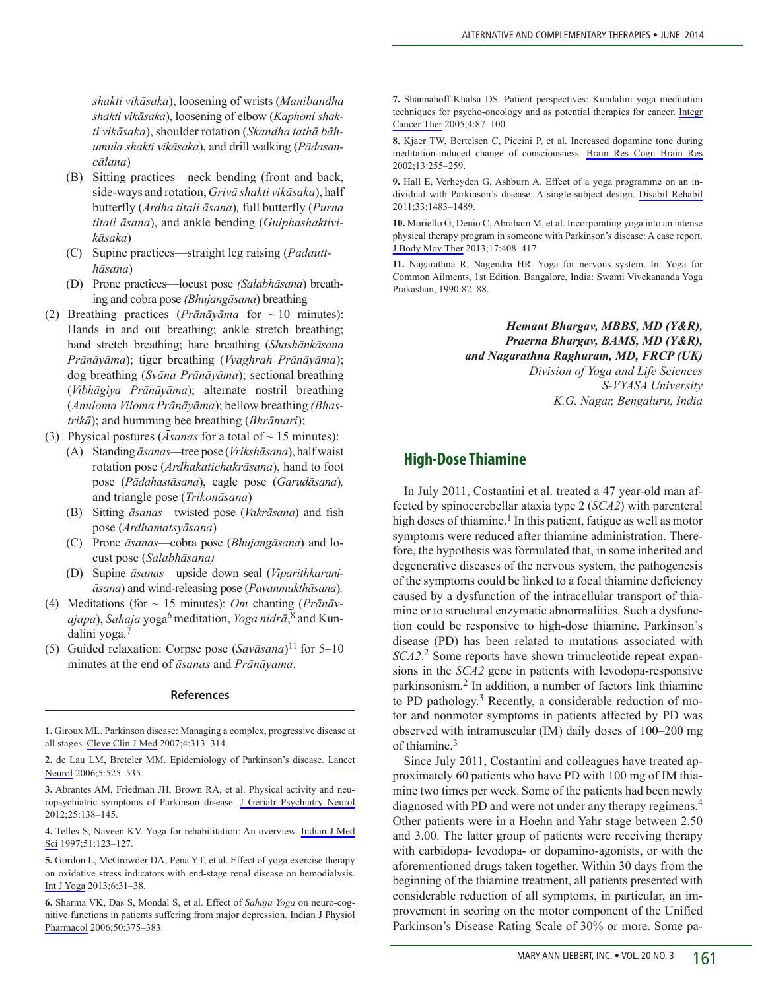*shakti vikāsaka*), loosening of wrists (*Manibandha shakti vikāsaka*), loosening of elbow (*Kaphoni shakti vikāsaka*), shoulder rotation (*Skandha tathā bāhumula shakti vikāsaka*), and drill walking (*Pādasancālana*)

- (B) Sitting practices—neck bending (front and back, side-ways and rotation, *Grivā shakti vikāsaka*), half butterfly (*Ardha titali āsana*)*,* full butterfly (*Purna titali āsana*), and ankle bending (*Gulphashaktivikāsaka*)
- (C) Supine practices—straight leg raising (*Padautthāsana*)
- (D) Prone practices—locust pose *(Salabhāsana*) breath ing and cobra pose *(Bhujangāsana*) breathing
- (2) Breathing practices (*Prānāyāma* for ~ 10 minutes): Hands in and out breathing; ankle stretch breathing; hand stretch breathing; hare breathing (*Shashānkāsana Prānāyāma*); tiger breathing (*Vyaghrah Prānāyāma*); dog breathing (*Svāna Prānāyāma*); sectional breathing (*Vibhāgiya Prānāyāma*); alternate nostril breathing (*Anuloma Viloma Prānāyāma*); bellow breathing *(Bhastrikā*); and humming bee breathing (*Bhrāmari*);
- (3) Physical postures (*Asanas* for a total of  $\sim$  15 minutes):
	- (A) Standing *āsanas—*tree pose (*Vrikshāsana*), half waist rotation pose (*Ardhakatichakrāsana*), hand to foot pose (*Pādahastāsana*), eagle pose (*Garudāsana*)*,* and triangle pose (*Trikonāsana*)
	- (B) Sitting *āsanas*—twisted pose (*Vakrāsana*) and fish pose (*Ardhamatsyāsana*)
	- (C) Prone *āsanas*—cobra pose (*Bhujangāsana*) and lo cust pose (*Salabhāsana)*
	- (D) Supine *āsanas*—upside down seal (*Viparithkaraniāsana*) and wind-releasing pose (*Pavanmukthāsana*)*.*
- (4) Meditations (for ~ 15 minutes): *Om* chanting (*Prānāvajapa*), *Sahaja* yoga6 meditation, *Yoga nidrā*, 8 and Kundalini yoga.7
- (5) Guided relaxation: Corpse pose (*Savāsana*)11 for 5–10 minutes at the end of *āsanas* and *Prānāyama*.

#### **References**

**1.** Giroux ML. Parkinson disease: Managing a complex, progressive disease at all stages. [Cleve Clin J Med](http://online.liebertpub.com/action/showLinks?crossref=10.3949%2Fccjm.74.5.313) 2007;4:313–314.

**2.** de Lau LM, Breteler MM. Epidemiology of Parkinson's disease. [Lancet](http://online.liebertpub.com/action/showLinks?pmid=16713924&crossref=10.1016%2FS1474-4422%2806%2970471-9)  [Neurol](http://online.liebertpub.com/action/showLinks?pmid=16713924&crossref=10.1016%2FS1474-4422%2806%2970471-9) 2006;5:525–535.

**3.** Abrantes AM, Friedman JH, Brown RA, et al. Physical activity and neuropsychiatric symptoms of Parkinson disease. [J Geriatr Psychiatry Neurol](http://online.liebertpub.com/action/showLinks?pmid=22914597&crossref=10.1177%2F0891988712455237)  2012;25:138–145.

**4.** Telles S, Naveen KV. Yoga for rehabilitation: An overview. [Indian J Med](http://online.liebertpub.com/action/showLinks?pmid=9355699)  [Sci](http://online.liebertpub.com/action/showLinks?pmid=9355699) 1997;51:123–127.

**5.** Gordon L, McGrowder DA, Pena YT, et al. Effect of yoga exercise therapy on oxidative stress indicators with end-stage renal disease on hemodialysis. [Int J Yoga](http://online.liebertpub.com/action/showLinks?pmid=23440311&crossref=10.4103%2F0973-6131.105944) 2013;6:31–38.

**6.** Sharma VK, Das S, Mondal S, et al. Effect of *Sahaja Yoga* on neuro-cognitive functions in patients suffering from major depression. [Indian J Physiol](http://online.liebertpub.com/action/showLinks?pmid=17402267)  [Pharmacol](http://online.liebertpub.com/action/showLinks?pmid=17402267) 2006;50:375–383.

**7.** Shannahoff-Khalsa DS. Patient perspectives: Kundalini yoga meditation techniques for psycho-oncology and as potential therapies for cancer. [Integr](http://online.liebertpub.com/action/showLinks?pmid=15695478&crossref=10.1177%2F1534735404273841)  [Cancer Ther](http://online.liebertpub.com/action/showLinks?pmid=15695478&crossref=10.1177%2F1534735404273841) 2005;4:87–100.

**8.** Kjaer TW, Bertelsen C, Piccini P, et al. Increased dopamine tone during meditation-induced change of consciousness. [Brain Res Cogn Brain Res](http://online.liebertpub.com/action/showLinks?pmid=11958969&crossref=10.1016%2FS0926-6410%2801%2900106-9)  2002;13:255–259.

**9.** Hall E, Verheyden G, Ashburn A. Effect of a yoga programme on an individual with Parkinson's disease: A single-subject design. [Disabil Rehabil](http://online.liebertpub.com/action/showLinks?pmid=21047288&crossref=10.3109%2F09638288.2010.529233)  2011;33:1483–1489.

**10.** Moriello G, Denio C, Abraham M, et al. Incorporating yoga into an intense physical therapy program in someone with Parkinson's disease: A case report. [J Body Mov Ther](http://online.liebertpub.com/action/showLinks?pmid=24138996&crossref=10.1016%2Fj.jbmt.2013.01.005) 2013;17:408–417.

**11.** Nagarathna R, Nagendra HR. Yoga for nervous system. In: Yoga for Common Ailments, 1st Edition. Bangalore, India: Swami Vivekananda Yoga Prakashan, 1990:82–88.

> *Hemant Bhargav, MBBS, MD (Y&R), Praerna Bhargav, BAMS, MD (Y&R), and Nagarathna Raghuram, MD, FRCP (UK) Division of Yoga and Life Sciences S-VYASA University K.G. Nagar, Bengaluru, India*

# **High-Dose Thiamine**

In July 2011, Costantini et al. treated a 47 year-old man affected by spinocerebellar ataxia type 2 (*SCA2*) with parenteral high doses of thiamine.<sup>1</sup> In this patient, fatigue as well as motor symptoms were reduced after thiamine administration. Therefore, the hypothesis was formulated that, in some inherited and degenerative diseases of the nervous system, the pathogenesis of the symptoms could be linked to a focal thiamine deficiency caused by a dysfunction of the intracellular transport of thiamine or to structural enzymatic abnormalities. Such a dysfunction could be responsive to high-dose thiamine. Parkinson's disease (PD) has been related to mutations associated with *SCA2*. 2 Some reports have shown trinucleotide repeat expansions in the *SCA2* gene in patients with levodopa-responsive parkinsonism.2 In addition, a number of factors link thiamine to PD pathology.3 Recently, a considerable reduction of motor and nonmotor symptoms in patients affected by PD was observed with intramuscular (IM) daily doses of 100–200 mg of thiamine.<sup>3</sup>

Since July 2011, Costantini and colleagues have treated approximately 60 patients who have PD with 100 mg of IM thiamine two times per week. Some of the patients had been newly diagnosed with PD and were not under any therapy regimens.<sup>4</sup> Other patients were in a Hoehn and Yahr stage between 2.50 and 3.00. The latter group of patients were receiving therapy with carbidopa- levodopa- or dopamino-agonists, or with the aforementioned drugs taken together. Within 30 days from the beginning of the thiamine treatment, all patients presented with considerable reduction of all symptoms, in particular, an improvement in scoring on the motor component of the Unified Parkinson's Disease Rating Scale of 30% or more. Some pa